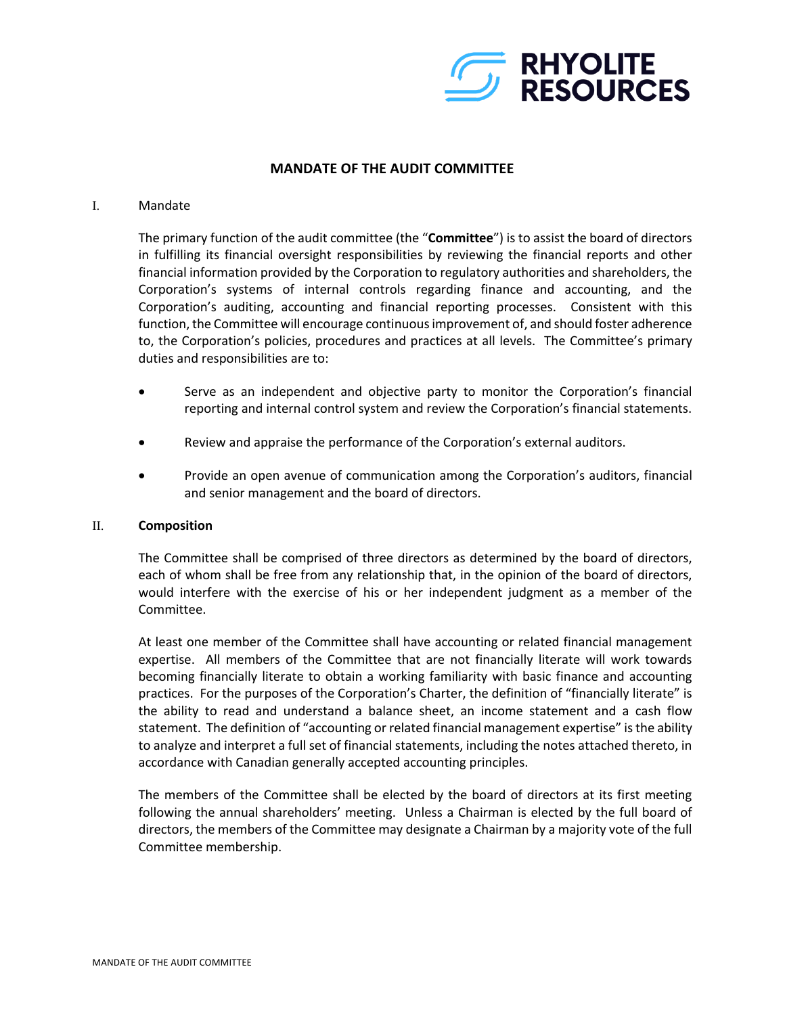

### **MANDATE OF THE AUDIT COMMITTEE**

#### I. Mandate

The primary function of the audit committee (the "**Committee**") is to assist the board of directors in fulfilling its financial oversight responsibilities by reviewing the financial reports and other financial information provided by the Corporation to regulatory authorities and shareholders, the Corporation's systems of internal controls regarding finance and accounting, and the Corporation's auditing, accounting and financial reporting processes. Consistent with this function, the Committee will encourage continuous improvement of, and should foster adherence to, the Corporation's policies, procedures and practices at all levels. The Committee's primary duties and responsibilities are to:

- Serve as an independent and objective party to monitor the Corporation's financial reporting and internal control system and review the Corporation's financial statements.
- Review and appraise the performance of the Corporation's external auditors.
- Provide an open avenue of communication among the Corporation's auditors, financial and senior management and the board of directors.

### II. **Composition**

The Committee shall be comprised of three directors as determined by the board of directors, each of whom shall be free from any relationship that, in the opinion of the board of directors, would interfere with the exercise of his or her independent judgment as a member of the Committee.

At least one member of the Committee shall have accounting or related financial management expertise. All members of the Committee that are not financially literate will work towards becoming financially literate to obtain a working familiarity with basic finance and accounting practices. For the purposes of the Corporation's Charter, the definition of "financially literate" is the ability to read and understand a balance sheet, an income statement and a cash flow statement. The definition of "accounting or related financial management expertise" is the ability to analyze and interpret a full set of financial statements, including the notes attached thereto, in accordance with Canadian generally accepted accounting principles.

The members of the Committee shall be elected by the board of directors at its first meeting following the annual shareholders' meeting. Unless a Chairman is elected by the full board of directors, the members of the Committee may designate a Chairman by a majority vote of the full Committee membership.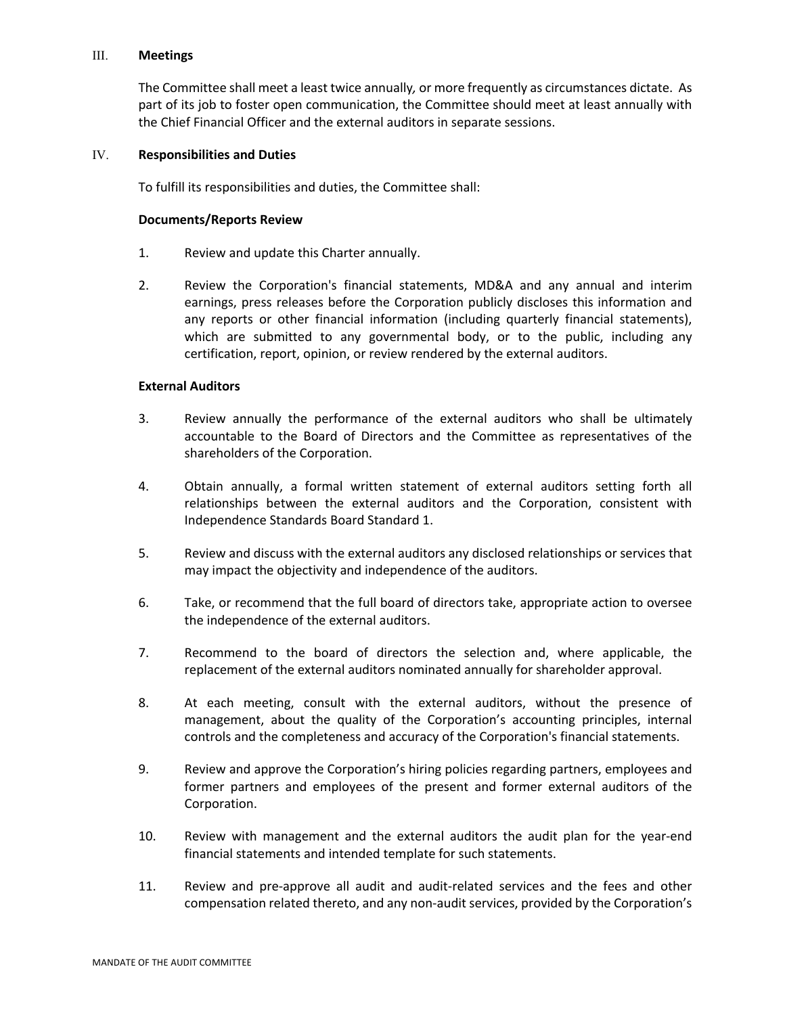### III. **Meetings**

The Committee shall meet a least twice annually*,* or more frequently as circumstances dictate. As part of its job to foster open communication, the Committee should meet at least annually with the Chief Financial Officer and the external auditors in separate sessions.

# IV. **Responsibilities and Duties**

To fulfill its responsibilities and duties, the Committee shall:

### **Documents/Reports Review**

- 1. Review and update this Charter annually.
- 2. Review the Corporation's financial statements, MD&A and any annual and interim earnings, press releases before the Corporation publicly discloses this information and any reports or other financial information (including quarterly financial statements), which are submitted to any governmental body, or to the public, including any certification, report, opinion, or review rendered by the external auditors.

## **External Auditors**

- 3. Review annually the performance of the external auditors who shall be ultimately accountable to the Board of Directors and the Committee as representatives of the shareholders of the Corporation.
- 4. Obtain annually, a formal written statement of external auditors setting forth all relationships between the external auditors and the Corporation, consistent with Independence Standards Board Standard 1.
- 5. Review and discuss with the external auditors any disclosed relationships or services that may impact the objectivity and independence of the auditors.
- 6. Take, or recommend that the full board of directors take, appropriate action to oversee the independence of the external auditors.
- 7. Recommend to the board of directors the selection and, where applicable, the replacement of the external auditors nominated annually for shareholder approval.
- 8. At each meeting, consult with the external auditors, without the presence of management, about the quality of the Corporation's accounting principles, internal controls and the completeness and accuracy of the Corporation's financial statements.
- 9. Review and approve the Corporation's hiring policies regarding partners, employees and former partners and employees of the present and former external auditors of the Corporation.
- 10. Review with management and the external auditors the audit plan for the year-end financial statements and intended template for such statements.
- 11. Review and pre-approve all audit and audit-related services and the fees and other compensation related thereto, and any non-audit services, provided by the Corporation's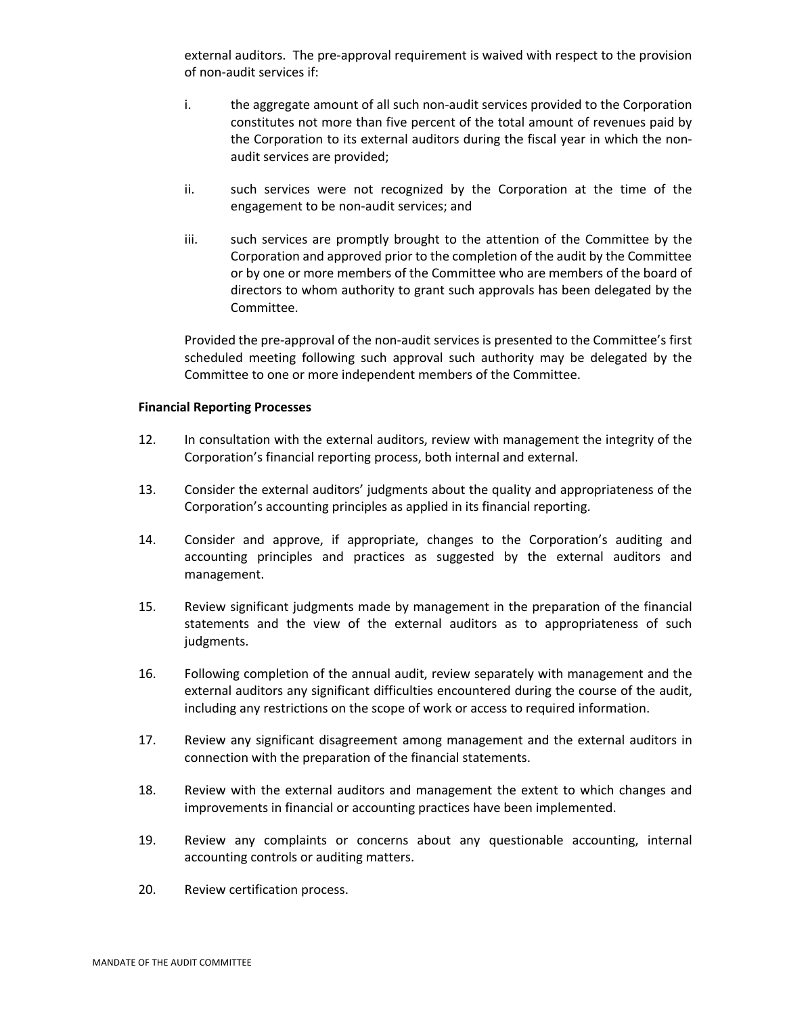external auditors. The pre-approval requirement is waived with respect to the provision of non-audit services if:

- i. the aggregate amount of all such non-audit services provided to the Corporation constitutes not more than five percent of the total amount of revenues paid by the Corporation to its external auditors during the fiscal year in which the nonaudit services are provided;
- ii. such services were not recognized by the Corporation at the time of the engagement to be non-audit services; and
- iii. such services are promptly brought to the attention of the Committee by the Corporation and approved prior to the completion of the audit by the Committee or by one or more members of the Committee who are members of the board of directors to whom authority to grant such approvals has been delegated by the Committee.

Provided the pre-approval of the non-audit services is presented to the Committee's first scheduled meeting following such approval such authority may be delegated by the Committee to one or more independent members of the Committee.

### **Financial Reporting Processes**

- 12. In consultation with the external auditors, review with management the integrity of the Corporation's financial reporting process, both internal and external.
- 13. Consider the external auditors' judgments about the quality and appropriateness of the Corporation's accounting principles as applied in its financial reporting.
- 14. Consider and approve, if appropriate, changes to the Corporation's auditing and accounting principles and practices as suggested by the external auditors and management.
- 15. Review significant judgments made by management in the preparation of the financial statements and the view of the external auditors as to appropriateness of such judgments.
- 16. Following completion of the annual audit, review separately with management and the external auditors any significant difficulties encountered during the course of the audit, including any restrictions on the scope of work or access to required information.
- 17. Review any significant disagreement among management and the external auditors in connection with the preparation of the financial statements.
- 18. Review with the external auditors and management the extent to which changes and improvements in financial or accounting practices have been implemented.
- 19. Review any complaints or concerns about any questionable accounting, internal accounting controls or auditing matters.
- 20. Review certification process.